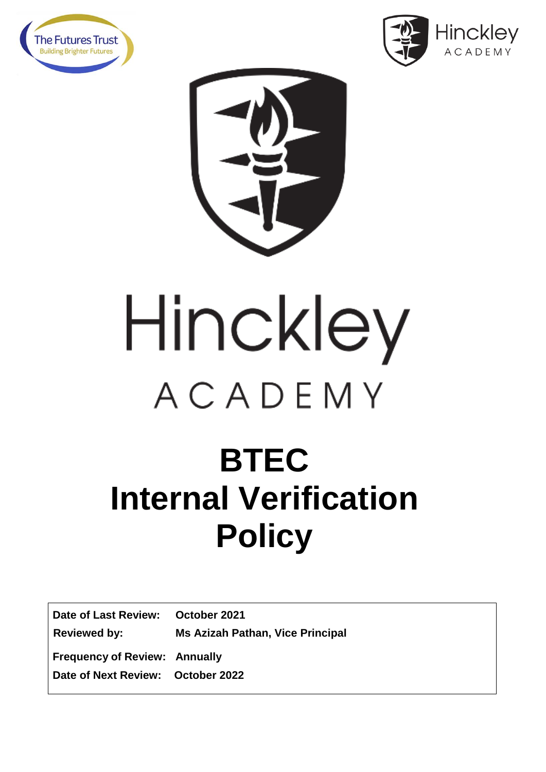





# Hinckley ACADEMY

## **BTEC Internal Verification Policy**

**Date of Last Review: October 2021 Reviewed by: Ms Azizah Pathan, Vice Principal Frequency of Review: Annually Date of Next Review: October 2022**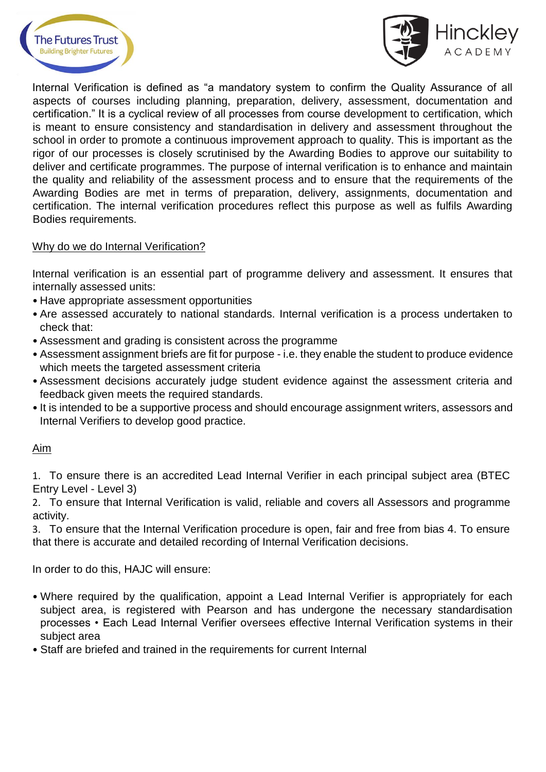



Internal Verification is defined as "a mandatory system to confirm the Quality Assurance of all aspects of courses including planning, preparation, delivery, assessment, documentation and certification." It is a cyclical review of all processes from course development to certification, which is meant to ensure consistency and standardisation in delivery and assessment throughout the school in order to promote a continuous improvement approach to quality. This is important as the rigor of our processes is closely scrutinised by the Awarding Bodies to approve our suitability to deliver and certificate programmes. The purpose of internal verification is to enhance and maintain the quality and reliability of the assessment process and to ensure that the requirements of the Awarding Bodies are met in terms of preparation, delivery, assignments, documentation and certification. The internal verification procedures reflect this purpose as well as fulfils Awarding Bodies requirements.

#### Why do we do Internal Verification?

Internal verification is an essential part of programme delivery and assessment. It ensures that internally assessed units:

- Have appropriate assessment opportunities
- Are assessed accurately to national standards. Internal verification is a process undertaken to check that:
- Assessment and grading is consistent across the programme
- Assessment assignment briefs are fit for purpose i.e. they enable the student to produce evidence which meets the targeted assessment criteria
- Assessment decisions accurately judge student evidence against the assessment criteria and feedback given meets the required standards.
- It is intended to be a supportive process and should encourage assignment writers, assessors and Internal Verifiers to develop good practice.

#### Aim

1. To ensure there is an accredited Lead Internal Verifier in each principal subject area (BTEC Entry Level - Level 3)

2. To ensure that Internal Verification is valid, reliable and covers all Assessors and programme activity.

3. To ensure that the Internal Verification procedure is open, fair and free from bias 4. To ensure that there is accurate and detailed recording of Internal Verification decisions.

In order to do this, HAJC will ensure:

- Where required by the qualification, appoint a Lead Internal Verifier is appropriately for each subiect area, is registered with Pearson and has undergone the necessary standardisation processes • Each Lead Internal Verifier oversees effective Internal Verification systems in their subject area
- Staff are briefed and trained in the requirements for current Internal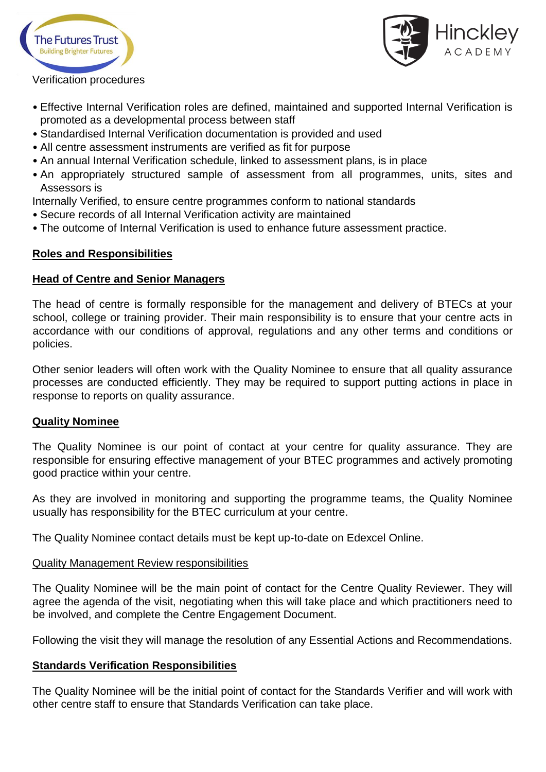



#### Verification procedures

- Effective Internal Verification roles are defined, maintained and supported Internal Verification is promoted as a developmental process between staff
- Standardised Internal Verification documentation is provided and used
- All centre assessment instruments are verified as fit for purpose
- An annual Internal Verification schedule, linked to assessment plans, is in place
- An appropriately structured sample of assessment from all programmes, units, sites and Assessors is

Internally Verified, to ensure centre programmes conform to national standards

- Secure records of all Internal Verification activity are maintained
- The outcome of Internal Verification is used to enhance future assessment practice.

#### **Roles and Responsibilities**

#### **Head of Centre and Senior Managers**

The head of centre is formally responsible for the management and delivery of BTECs at your school, college or training provider. Their main responsibility is to ensure that your centre acts in accordance with our conditions of approval, regulations and any other terms and conditions or policies.

Other senior leaders will often work with the Quality Nominee to ensure that all quality assurance processes are conducted efficiently. They may be required to support putting actions in place in response to reports on quality assurance.

#### **Quality Nominee**

The Quality Nominee is our point of contact at your centre for quality assurance. They are responsible for ensuring effective management of your BTEC programmes and actively promoting good practice within your centre.

As they are involved in monitoring and supporting the programme teams, the Quality Nominee usually has responsibility for the BTEC curriculum at your centre.

The Quality Nominee contact details must be kept up-to-date on Edexcel Online.

#### Quality Management Review responsibilities

The Quality Nominee will be the main point of contact for the Centre Quality Reviewer. They will agree the agenda of the visit, negotiating when this will take place and which practitioners need to be involved, and complete the Centre Engagement Document.

Following the visit they will manage the resolution of any Essential Actions and Recommendations.

#### **Standards Verification Responsibilities**

The Quality Nominee will be the initial point of contact for the Standards Verifier and will work with other centre staff to ensure that Standards Verification can take place.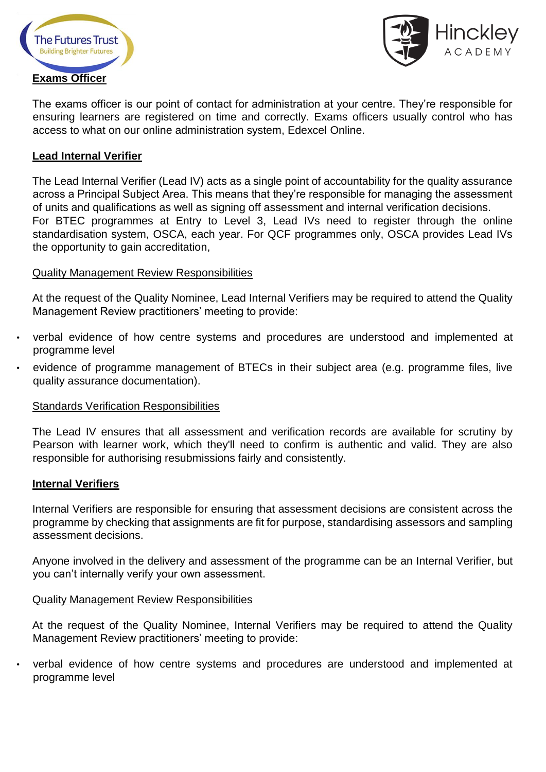



The exams officer is our point of contact for administration at your centre. They're responsible for ensuring learners are registered on time and correctly. Exams officers usually control who has access to what on our online administration system, Edexcel Online.

#### **Lead Internal Verifier**

The Lead Internal Verifier (Lead IV) acts as a single point of accountability for the quality assurance across a Principal Subject Area. This means that they're responsible for managing the assessment of units and qualifications as well as signing off assessment and internal verification decisions. For BTEC programmes at Entry to Level 3, Lead IVs need to register through the online standardisation system, OSCA, each year. For QCF programmes only, OSCA provides Lead IVs the opportunity to gain accreditation,

#### Quality Management Review Responsibilities

At the request of the Quality Nominee, Lead Internal Verifiers may be required to attend the Quality Management Review practitioners' meeting to provide:

- verbal evidence of how centre systems and procedures are understood and implemented at programme level
- evidence of programme management of BTECs in their subject area (e.g. programme files, live quality assurance documentation).

#### Standards Verification Responsibilities

The Lead IV ensures that all assessment and verification records are available for scrutiny by Pearson with learner work, which they'll need to confirm is authentic and valid. They are also responsible for authorising resubmissions fairly and consistently.

#### **Internal Verifiers**

Internal Verifiers are responsible for ensuring that assessment decisions are consistent across the programme by checking that assignments are fit for purpose, standardising assessors and sampling assessment decisions.

Anyone involved in the delivery and assessment of the programme can be an Internal Verifier, but you can't internally verify your own assessment.

#### Quality Management Review Responsibilities

At the request of the Quality Nominee, Internal Verifiers may be required to attend the Quality Management Review practitioners' meeting to provide:

• verbal evidence of how centre systems and procedures are understood and implemented at programme level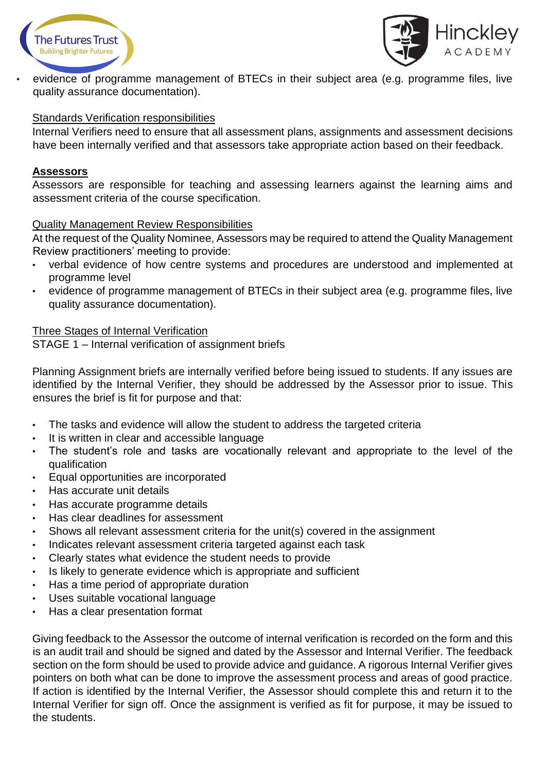



• evidence of programme management of BTECs in their subject area (e.g. programme files, live quality assurance documentation).

#### Standards Verification responsibilities

Internal Verifiers need to ensure that all assessment plans, assignments and assessment decisions have been internally verified and that assessors take appropriate action based on their feedback.

#### **Assessors**

Assessors are responsible for teaching and assessing learners against the learning aims and assessment criteria of the course specification.

#### Quality Management Review Responsibilities

At the request of the Quality Nominee, Assessors may be required to attend the Quality Management Review practitioners' meeting to provide:

- verbal evidence of how centre systems and procedures are understood and implemented at programme level
- evidence of programme management of BTECs in their subject area (e.g. programme files, live quality assurance documentation).

#### Three Stages of Internal Verification

STAGE 1 – Internal verification of assignment briefs

Planning Assignment briefs are internally verified before being issued to students. If any issues are identified by the Internal Verifier, they should be addressed by the Assessor prior to issue. This ensures the brief is fit for purpose and that:

- The tasks and evidence will allow the student to address the targeted criteria
- It is written in clear and accessible language
- The student's role and tasks are vocationally relevant and appropriate to the level of the qualification
- Equal opportunities are incorporated
- Has accurate unit details
- Has accurate programme details
- Has clear deadlines for assessment
- Shows all relevant assessment criteria for the unit(s) covered in the assignment
- Indicates relevant assessment criteria targeted against each task
- Clearly states what evidence the student needs to provide
- Is likely to generate evidence which is appropriate and sufficient
- Has a time period of appropriate duration
- Uses suitable vocational language
- Has a clear presentation format

Giving feedback to the Assessor the outcome of internal verification is recorded on the form and this is an audit trail and should be signed and dated by the Assessor and Internal Verifier. The feedback section on the form should be used to provide advice and guidance. A rigorous Internal Verifier gives pointers on both what can be done to improve the assessment process and areas of good practice. If action is identified by the Internal Verifier, the Assessor should complete this and return it to the Internal Verifier for sign off. Once the assignment is verified as fit for purpose, it may be issued to the students.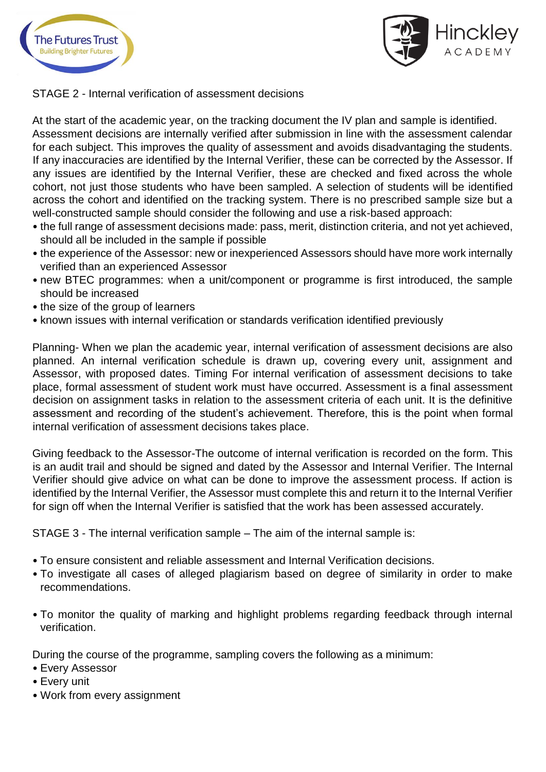



STAGE 2 - Internal verification of assessment decisions

At the start of the academic year, on the tracking document the IV plan and sample is identified. Assessment decisions are internally verified after submission in line with the assessment calendar for each subject. This improves the quality of assessment and avoids disadvantaging the students. If any inaccuracies are identified by the Internal Verifier, these can be corrected by the Assessor. If any issues are identified by the Internal Verifier, these are checked and fixed across the whole cohort, not just those students who have been sampled. A selection of students will be identified across the cohort and identified on the tracking system. There is no prescribed sample size but a well-constructed sample should consider the following and use a risk-based approach:

- the full range of assessment decisions made: pass, merit, distinction criteria, and not yet achieved, should all be included in the sample if possible
- the experience of the Assessor: new or inexperienced Assessors should have more work internally verified than an experienced Assessor
- new BTEC programmes: when a unit/component or programme is first introduced, the sample should be increased
- the size of the group of learners
- known issues with internal verification or standards verification identified previously

Planning- When we plan the academic year, internal verification of assessment decisions are also planned. An internal verification schedule is drawn up, covering every unit, assignment and Assessor, with proposed dates. Timing For internal verification of assessment decisions to take place, formal assessment of student work must have occurred. Assessment is a final assessment decision on assignment tasks in relation to the assessment criteria of each unit. It is the definitive assessment and recording of the student's achievement. Therefore, this is the point when formal internal verification of assessment decisions takes place.

Giving feedback to the Assessor-The outcome of internal verification is recorded on the form. This is an audit trail and should be signed and dated by the Assessor and Internal Verifier. The Internal Verifier should give advice on what can be done to improve the assessment process. If action is identified by the Internal Verifier, the Assessor must complete this and return it to the Internal Verifier for sign off when the Internal Verifier is satisfied that the work has been assessed accurately.

STAGE 3 - The internal verification sample – The aim of the internal sample is:

- To ensure consistent and reliable assessment and Internal Verification decisions.
- To investigate all cases of alleged plagiarism based on degree of similarity in order to make recommendations.
- To monitor the quality of marking and highlight problems regarding feedback through internal verification.

During the course of the programme, sampling covers the following as a minimum:

- Every Assessor
- Every unit
- Work from every assignment